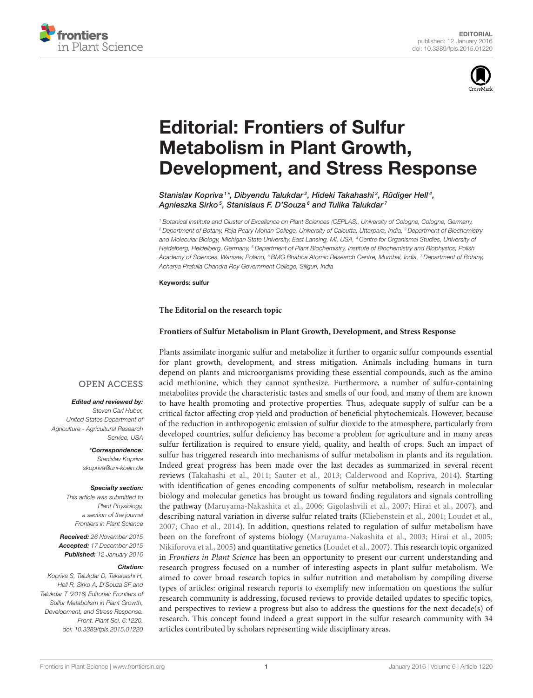



# Editorial: Frontiers of Sulfur Metabolism in Plant Growth, [Development, and Stress Response](http://journal.frontiersin.org/article/10.3389/fpls.2015.01220/full)

[Stanislav Kopriva](http://loop.frontiersin.org/people/26223/overview)<sup>1\*</sup>, [Dibyendu Talukdar](http://loop.frontiersin.org/people/119379/overview)<sup>2</sup>, [Hideki Takahashi](http://loop.frontiersin.org/people/13640/overview)<sup>3</sup>, [Rüdiger Hell](http://loop.frontiersin.org/people/26259/overview)<sup>4</sup>, [Agnieszka Sirko](http://loop.frontiersin.org/people/27928/overview)<sup>s</sup>, [Stanislaus F. D'Souza](http://loop.frontiersin.org/people/122046/overview)<sup>s</sup> and [Tulika Talukdar](http://loop.frontiersin.org/people/119921/overview)<sup>7</sup>

*<sup>1</sup> Botanical Institute and Cluster of Excellence on Plant Sciences (CEPLAS), University of Cologne, Cologne, Germany, <sup>2</sup> Department of Botany, Raja Peary Mohan College, University of Calcutta, Uttarpara, India, <sup>3</sup> Department of Biochemistry and Molecular Biology, Michigan State University, East Lansing, MI, USA, <sup>4</sup> Centre for Organismal Studies, University of Heidelberg, Heidelberg, Germany, <sup>5</sup> Department of Plant Biochemistry, Institute of Biochemistry and Biophysics, Polish Academy of Sciences, Warsaw, Poland, <sup>6</sup> BMG Bhabha Atomic Research Centre, Mumbai, India, <sup>7</sup> Department of Botany, Acharya Prafulla Chandra Roy Government College, Siliguri, India*

#### Keywords: sulfur

### **The Editorial on the research topic**

## **[Frontiers of Sulfur Metabolism in Plant Growth, Development, and Stress Response](http://journal.frontiersin.org/researchtopic/2392/frontiers-of-sulfur-metabolism-in-plant-growth-development-and-stress-response)**

Plants assimilate inorganic sulfur and metabolize it further to organic sulfur compounds essential for plant growth, development, and stress mitigation. Animals including humans in turn depend on plants and microorganisms providing these essential compounds, such as the amino acid methionine, which they cannot synthesize. Furthermore, a number of sulfur-containing metabolites provide the characteristic tastes and smells of our food, and many of them are known to have health promoting and protective properties. Thus, adequate supply of sulfur can be a critical factor affecting crop yield and production of beneficial phytochemicals. However, because of the reduction in anthropogenic emission of sulfur dioxide to the atmosphere, particularly from developed countries, sulfur deficiency has become a problem for agriculture and in many areas sulfur fertilization is required to ensure yield, quality, and health of crops. Such an impact of sulfur has triggered research into mechanisms of sulfur metabolism in plants and its regulation. Indeed great progress has been made over the last decades as summarized in several recent reviews [\(Takahashi et al., 2011;](#page-2-0) [Sauter et al., 2013;](#page-2-1) [Calderwood and Kopriva, 2014\)](#page-2-2). Starting with identification of genes encoding components of sulfur metabolism, research in molecular biology and molecular genetics has brought us toward finding regulators and signals controlling the pathway [\(Maruyama-Nakashita et al., 2006;](#page-2-3) [Gigolashvili et al., 2007;](#page-2-4) [Hirai et al., 2007\)](#page-2-5), and describing natural variation in diverse sulfur related traits [\(Kliebenstein et al., 2001;](#page-2-6) [Loudet et al.,](#page-2-7) [2007;](#page-2-7) [Chao et al., 2014\)](#page-2-8). In addition, questions related to regulation of sulfur metabolism have been on the forefront of systems biology [\(Maruyama-Nakashita et al., 2003;](#page-2-9) [Hirai et al., 2005;](#page-2-10) [Nikiforova et al., 2005\)](#page-2-11) and quantitative genetics [\(Loudet et al., 2007\)](#page-2-7). This research topic organized in Frontiers in Plant Science has been an opportunity to present our current understanding and research progress focused on a number of interesting aspects in plant sulfur metabolism. We aimed to cover broad research topics in sulfur nutrition and metabolism by compiling diverse types of articles: original research reports to exemplify new information on questions the sulfur research community is addressing, focused reviews to provide detailed updates to specific topics, and perspectives to review a progress but also to address the questions for the next decade(s) of research. This concept found indeed a great support in the sulfur research community with 34 articles contributed by scholars representing wide disciplinary areas.

## **OPEN ACCESS**

## Edited and reviewed by:

*Steven Carl Huber, United States Department of Agriculture - Agricultural Research Service, USA*

> \*Correspondence: *Stanislav Kopriva [skopriva@uni-koeln.de](mailto:skopriva@uni-koeln.de)*

#### Specialty section:

*This article was submitted to Plant Physiology, a section of the journal Frontiers in Plant Science*

Received: *26 November 2015* Accepted: *17 December 2015* Published: *12 January 2016*

#### Citation:

*Kopriva S, Talukdar D, Takahashi H, Hell R, Sirko A, D'Souza SF and Talukdar T (2016) Editorial: Frontiers of Sulfur Metabolism in Plant Growth, Development, and Stress Response. Front. Plant Sci. 6:1220. doi: [10.3389/fpls.2015.01220](http://dx.doi.org/10.3389/fpls.2015.01220)*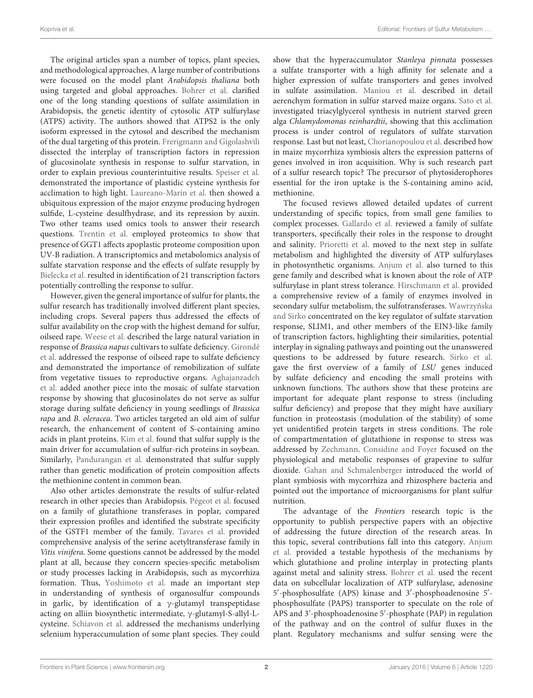The original articles span a number of topics, plant species, and methodological approaches. A large number of contributions were focused on the model plant Arabidopsis thaliana both using targeted and global approaches. [Bohrer et al.](http://dx.doi.org/10.3389/fpls.2014.00750) clarified one of the long standing questions of sulfate assimilation in Arabidopsis, the genetic identity of cytosolic ATP sulfurylase (ATPS) activity. The authors showed that ATPS2 is the only isoform expressed in the cytosol and described the mechanism of the dual targeting of this protein. [Frerigmann and Gigolashvili](http://dx.doi.org/10.3389/fpls.2014.00626) dissected the interplay of transcription factors in repression of glucosinolate synthesis in response to sulfur starvation, in order to explain previous counterintuitive results. [Speiser et al.](http://dx.doi.org/10.3389/fpls.2014.00776) demonstrated the importance of plastidic cysteine synthesis for acclimation to high light. [Laureano-Marín et al.](http://dx.doi.org/10.3389/fpls.2014.00683) then showed a ubiquitous expression of the major enzyme producing hydrogen sulfide, L-cysteine desulfhydrase, and its repression by auxin. Two other teams used omics tools to answer their research questions. [Trentin et al.](http://dx.doi.org/10.3389/fpls.2015.00128) employed proteomics to show that presence of GGT1 affects apoplastic proteome composition upon UV-B radiation. A transcriptomics and metabolomics analysis of sulfate starvation response and the effects of sulfate resupply by [Bielecka et al.](http://dx.doi.org/10.3389/fpls.2014.00805) resulted in identification of 21 transcription factors potentially controlling the response to sulfur.

However, given the general importance of sulfur for plants, the sulfur research has traditionally involved different plant species, including crops. Several papers thus addressed the effects of sulfur availability on the crop with the highest demand for sulfur, oilseed rape. [Weese et al.](http://dx.doi.org/10.3389/fpls.2015.00009) described the large natural variation in response of Brassica napus cultivars to sulfate deficiency. Girondé et al. [addressed the response of oilseed rape to sulfate deficiency](http://dx.doi.org/10.3389/fpls.2014.00695) and demonstrated the importance of remobilization of sulfate from vegetative tissues to reproductive organs. Aghajanzadeh et al. [added another piece into the mosaic of sulfate starvation](http://dx.doi.org/10.3389/fpls.2014.00704) response by showing that glucosinolates do not serve as sulfur storage during sulfate deficiency in young seedlings of Brassica rapa and B. oleracea. Two articles targeted an old aim of sulfur research, the enhancement of content of S-containing amino acids in plant proteins. [Kim et al.](http://dx.doi.org/10.3389/fpls.2014.00633) found that sulfur supply is the main driver for accumulation of sulfur-rich proteins in soybean. Similarly, [Pandurangan et al.](http://dx.doi.org/10.3389/fpls.2015.00092) demonstrated that sulfur supply rather than genetic modification of protein composition affects the methionine content in common bean.

Also other articles demonstrate the results of sulfur-related research in other species than Arabidopsis. [Pégeot et al.](http://dx.doi.org/10.3389/fpls.2014.00712) focused on a family of glutathione transferases in poplar, compared their expression profiles and identified the substrate specificity of the GSTF1 member of the family. [Tavares et al.](http://dx.doi.org/10.3389/fpls.2015.00074) provided comprehensive analysis of the serine acetyltransferase family in Vitis vinifera. Some questions cannot be addressed by the model plant at all, because they concern species-specific metabolism or study processes lacking in Arabidopsis, such as mycorrhiza formation. Thus, [Yoshimoto et al.](http://dx.doi.org/10.3389/fpls.2014.00758) made an important step in understanding of synthesis of organosulfur compounds in garlic, by identification of a  $\gamma$ -glutamyl transpeptidase acting on alliin biosynthetic intermediate, γ-glutamyl-S-allyl-Lcysteine. [Schiavon et al.](http://dx.doi.org/10.3389/fpls.2015.00002) addressed the mechanisms underlying selenium hyperaccumulation of some plant species. They could show that the hyperaccumulator Stanleya pinnata possesses a sulfate transporter with a high affinity for selenate and a higher expression of sulfate transporters and genes involved in sulfate assimilation. [Maniou et al.](http://dx.doi.org/10.3389/fpls.2014.00581) described in detail aerenchym formation in sulfur starved maize organs. [Sato et al.](http://dx.doi.org/10.3389/fpls.2014.00444) investigated triacylglycerol synthesis in nutrient starved green alga Chlamydomonas reinhardtii, showing that this acclimation process is under control of regulators of sulfate starvation response. Last but not least, [Chorianopoulou et al.](http://dx.doi.org/10.3389/fpls.2015.00257) described how in maize mycorrhiza symbiosis alters the expression patterns of genes involved in iron acquisition. Why is such research part of a sulfur research topic? The precursor of phytosiderophores essential for the iron uptake is the S-containing amino acid, methionine.

The focused reviews allowed detailed updates of current understanding of specific topics, from small gene families to complex processes. [Gallardo et al.](http://dx.doi.org/10.3389/fpls.2014.00580) reviewed a family of sulfate transporters, specifically their roles in the response to drought and salinity. [Prioretti et al.](http://dx.doi.org/10.3389/fpls.2014.00597) moved to the next step in sulfate metabolism and highlighted the diversity of ATP sulfurylases in photosynthetic organisms. [Anjum et al.](http://dx.doi.org/10.3389/fpls.2015.00210) also turned to this gene family and described what is known about the role of ATP sulfurylase in plant stress tolerance. [Hirschmann et al.](http://dx.doi.org/10.3389/fpls.2014.00556) provided a comprehensive review of a family of enzymes involved in secondary sulfur metabolism, the sulfotransferases. Wawrzyñska and Sirko [concentrated on the key regulator of sulfate starvation](http://dx.doi.org/10.3389/fpls.2014.00575) response, SLIM1, and other members of the EIN3-like family of transcription factors, highlighting their similarities, potential interplay in signaling pathways and pointing out the unanswered questions to be addressed by future research. [Sirko et al.](http://dx.doi.org/10.3389/fpls.2014.00774) gave the first overview of a family of LSU genes induced by sulfate deficiency and encoding the small proteins with unknown functions. The authors show that these proteins are important for adequate plant response to stress (including sulfur deficiency) and propose that they might have auxiliary function in proteostasis (modulation of the stability) of some yet unidentified protein targets in stress conditions. The role of compartmentation of glutathione in response to stress was addressed by [Zechmann.](http://dx.doi.org/10.3389/fpls.2014.00566) [Considine and Foyer](http://dx.doi.org/10.3389/fpls.2015.00060) focused on the physiological and metabolic responses of grapevine to sulfur dioxide. [Gahan and Schmalenberger](http://dx.doi.org/10.3389/fpls.2014.00723) introduced the world of plant symbiosis with mycorrhiza and rhizosphere bacteria and pointed out the importance of microorganisms for plant sulfur nutrition.

The advantage of the Frontiers research topic is the opportunity to publish perspective papers with an objective of addressing the future direction of the research areas. In this topic, several contributions fall into this category. Anjum et al. [provided a testable hypothesis of the mechanisms by](http://dx.doi.org/10.3389/fpls.2014.00662) which glutathione and proline interplay in protecting plants against metal and salinity stress. [Bohrer et al.](http://dx.doi.org/10.3389/fpls.2014.00751) used the recent data on subcellular localization of ATP sulfurylase, adenosine 5 ′ -phosphosulfate (APS) kinase and 3′ -phosphoadenosine 5′ phosphosulfate (PAPS) transporter to speculate on the role of APS and 3′ -phosphoadenosine 5′ -phosphate (PAP) in regulation of the pathway and on the control of sulfur fluxes in the plant. Regulatory mechanisms and sulfur sensing were the